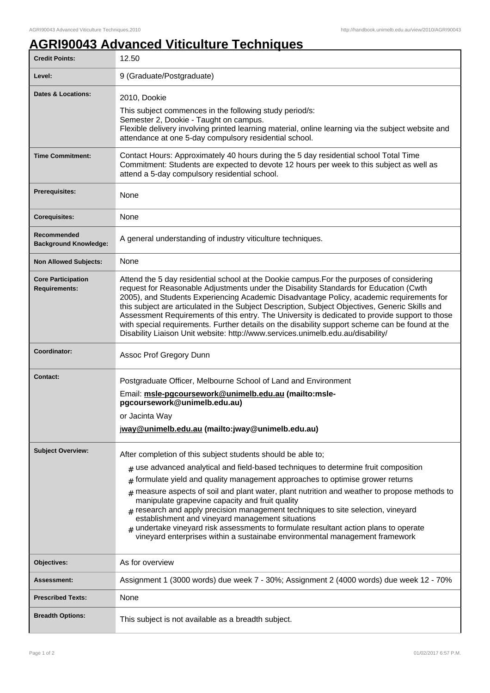## **AGRI90043 Advanced Viticulture Techniques**

| <b>Credit Points:</b>                             | 12.50                                                                                                                                                                                                                                                                                                                                                                                                                                                                                                                                                                                                                                                                                                          |
|---------------------------------------------------|----------------------------------------------------------------------------------------------------------------------------------------------------------------------------------------------------------------------------------------------------------------------------------------------------------------------------------------------------------------------------------------------------------------------------------------------------------------------------------------------------------------------------------------------------------------------------------------------------------------------------------------------------------------------------------------------------------------|
| Level:                                            | 9 (Graduate/Postgraduate)                                                                                                                                                                                                                                                                                                                                                                                                                                                                                                                                                                                                                                                                                      |
| Dates & Locations:                                | 2010, Dookie<br>This subject commences in the following study period/s:<br>Semester 2, Dookie - Taught on campus.<br>Flexible delivery involving printed learning material, online learning via the subject website and<br>attendance at one 5-day compulsory residential school.                                                                                                                                                                                                                                                                                                                                                                                                                              |
| <b>Time Commitment:</b>                           | Contact Hours: Approximately 40 hours during the 5 day residential school Total Time<br>Commitment: Students are expected to devote 12 hours per week to this subject as well as<br>attend a 5-day compulsory residential school.                                                                                                                                                                                                                                                                                                                                                                                                                                                                              |
| <b>Prerequisites:</b>                             | None                                                                                                                                                                                                                                                                                                                                                                                                                                                                                                                                                                                                                                                                                                           |
| <b>Corequisites:</b>                              | None                                                                                                                                                                                                                                                                                                                                                                                                                                                                                                                                                                                                                                                                                                           |
| Recommended<br><b>Background Knowledge:</b>       | A general understanding of industry viticulture techniques.                                                                                                                                                                                                                                                                                                                                                                                                                                                                                                                                                                                                                                                    |
| <b>Non Allowed Subjects:</b>                      | None                                                                                                                                                                                                                                                                                                                                                                                                                                                                                                                                                                                                                                                                                                           |
| <b>Core Participation</b><br><b>Requirements:</b> | Attend the 5 day residential school at the Dookie campus. For the purposes of considering<br>request for Reasonable Adjustments under the Disability Standards for Education (Cwth<br>2005), and Students Experiencing Academic Disadvantage Policy, academic requirements for<br>this subject are articulated in the Subject Description, Subject Objectives, Generic Skills and<br>Assessment Requirements of this entry. The University is dedicated to provide support to those<br>with special requirements. Further details on the disability support scheme can be found at the<br>Disability Liaison Unit website: http://www.services.unimelb.edu.au/disability/                                      |
| Coordinator:                                      | Assoc Prof Gregory Dunn                                                                                                                                                                                                                                                                                                                                                                                                                                                                                                                                                                                                                                                                                        |
| Contact:                                          | Postgraduate Officer, Melbourne School of Land and Environment<br>Email: msle-pgcoursework@unimelb.edu.au (mailto:msle-<br>pgcoursework@unimelb.edu.au)<br>or Jacinta Wav<br>jway@unimelb.edu.au (mailto: jway@unimelb.edu.au)                                                                                                                                                                                                                                                                                                                                                                                                                                                                                 |
| <b>Subject Overview:</b>                          | After completion of this subject students should be able to;<br>$_{\#}$ use advanced analytical and field-based techniques to determine fruit composition<br>formulate yield and quality management approaches to optimise grower returns<br>#<br>measure aspects of soil and plant water, plant nutrition and weather to propose methods to<br>manipulate grapevine capacity and fruit quality<br>$#$ research and apply precision management techniques to site selection, vineyard<br>establishment and vineyard management situations<br>undertake vineyard risk assessments to formulate resultant action plans to operate<br>vineyard enterprises within a sustainabe environmental management framework |
| Objectives:                                       | As for overview                                                                                                                                                                                                                                                                                                                                                                                                                                                                                                                                                                                                                                                                                                |
| Assessment:                                       | Assignment 1 (3000 words) due week 7 - 30%; Assignment 2 (4000 words) due week 12 - 70%                                                                                                                                                                                                                                                                                                                                                                                                                                                                                                                                                                                                                        |
| <b>Prescribed Texts:</b>                          | None                                                                                                                                                                                                                                                                                                                                                                                                                                                                                                                                                                                                                                                                                                           |
| <b>Breadth Options:</b>                           | This subject is not available as a breadth subject.                                                                                                                                                                                                                                                                                                                                                                                                                                                                                                                                                                                                                                                            |